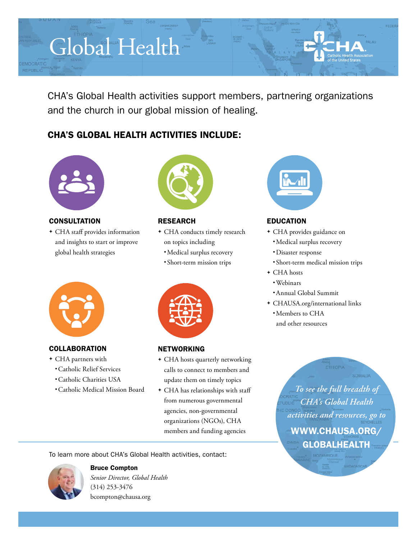# Global Health

CHA's Global Health activities support members, partnering organizations and the church in our global mission of healing.

# CHA'S GLOBAL HEALTH ACTIVITIES INCLUDE:



EMOCRATIC

**CONSULTATION** 

<sup>v</sup> CHA staff provides information and insights to start or improve global health strategies



# RESEARCH

- + CHA conducts timely research on topics including •Medical surplus recovery
	- Short-term mission trips



# **COLLABORATION**

- + CHA partners with
	- •Catholic Relief Services
	- •Catholic Charities USA
	- •Catholic Medical Mission Board



#### **NETWORKING**

- + CHA hosts quarterly networking calls to connect to members and update them on timely topics
- + CHA has relationships with staff from numerous governmental agencies, non-governmental organizations (NGOs), CHA members and funding agencies

To learn more about CHA's Global Health activities, contact:



# Bruce Compton

*Senior Director, Global Health* (314) 253-3476 [bcompton@chausa.org](mailto:bcompton%40chausa.org?subject=International%20Outreach)



# EDUCATION

- + CHA provides guidance on
	- •Medical surplus recovery
	- •Disaster response
	- Short-term medical mission trips
- + CHA hosts
	- •Webinars
	- •Annual Global Summit
- + CHAUSA.org/international links
	- •Members to CHA and other resources

*To see the full breadth of CHA's Global Health activities and resources, go to*  [WWW.CHAUSA.ORG/](http://www.chausa.org/international) **GLOBALHEALTH**